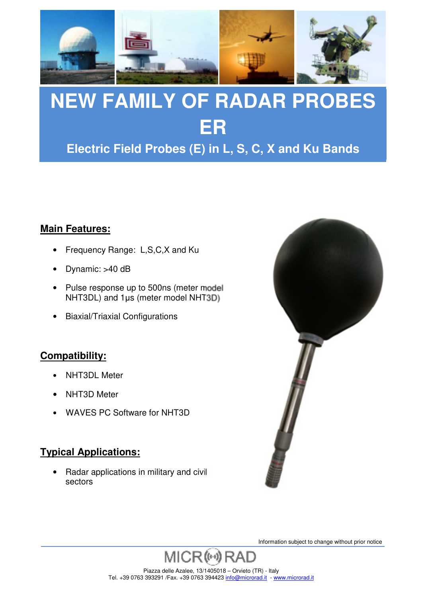

**Electric Field Probes (E) in L, S, C, X and Ku Bands**

#### **Main Features:**

- Frequency Range: L,S,C,X and Ku
- Dynamic: >40 dB
- Pulse response up to 500ns (meter model NHT3DL) and 1µs (meter model NHT3D)
- Biaxial/Triaxial Configurations

#### **Compatibility:**

- NHT3DL Meter
- NHT3D Meter
- WAVES PC Software for NHT3D

#### **Typical Applications:**

• Radar applications in military and civil sectors

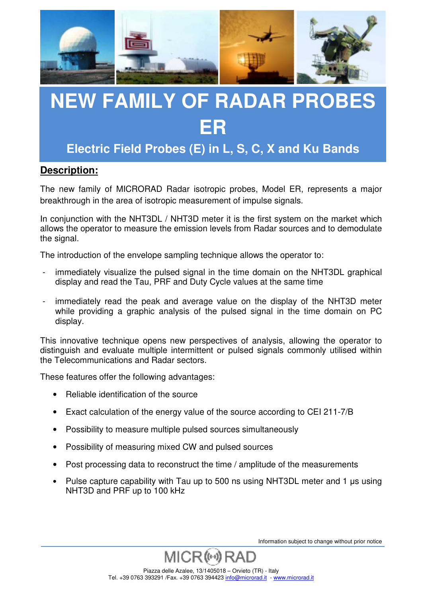

**Electric Field Probes (E) in L, S, C, X and Ku Bands**

#### **Description:**

The new family of MICRORAD Radar isotropic probes, Model ER, represents a major breakthrough in the area of isotropic measurement of impulse signals.

In conjunction with the NHT3DL / NHT3D meter it is the first system on the market which allows the operator to measure the emission levels from Radar sources and to demodulate the signal.

The introduction of the envelope sampling technique allows the operator to:

- immediately visualize the pulsed signal in the time domain on the NHT3DL graphical display and read the Tau, PRF and Duty Cycle values at the same time
- immediately read the peak and average value on the display of the NHT3D meter while providing a graphic analysis of the pulsed signal in the time domain on PC display.

This innovative technique opens new perspectives of analysis, allowing the operator to distinguish and evaluate multiple intermittent or pulsed signals commonly utilised within the Telecommunications and Radar sectors.

These features offer the following advantages:

- Reliable identification of the source
- Exact calculation of the energy value of the source according to CEI 211-7/B
- Possibility to measure multiple pulsed sources simultaneously
- Possibility of measuring mixed CW and pulsed sources
- Post processing data to reconstruct the time / amplitude of the measurements
- Pulse capture capability with Tau up to 500 ns using NHT3DL meter and 1 us using NHT3D and PRF up to 100 kHz

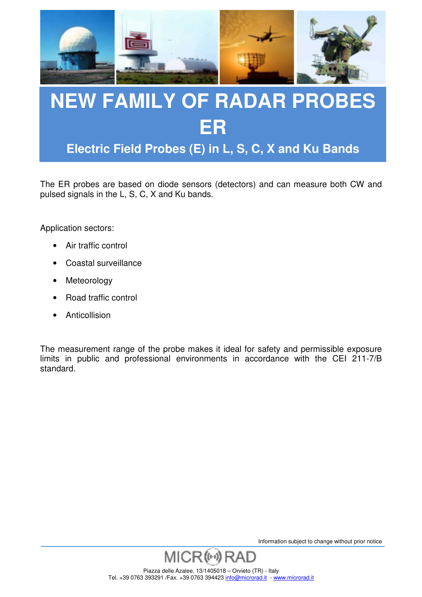

**Electric Field Probes (E) in L, S, C, X and Ku Bands**

The ER probes are based on diode sensors (detectors) and can measure both CW and pulsed signals in the L, S, C, X and Ku bands.

Application sectors:

- Air traffic control
- Coastal surveillance
- **Meteorology**
- Road traffic control
- **Anticollision**

The measurement range of the probe makes it ideal for safety and permissible exposure limits in public and professional environments in accordance with the CEI 211-7/B standard.

Information subject to change without prior notice



Piazza delle Azalee, 13/1405018 – Orvieto (TR) - Italy Tel. +39 0763 393291 /Fax. +39 0763 394423 info@microrad.it - www.microrad.it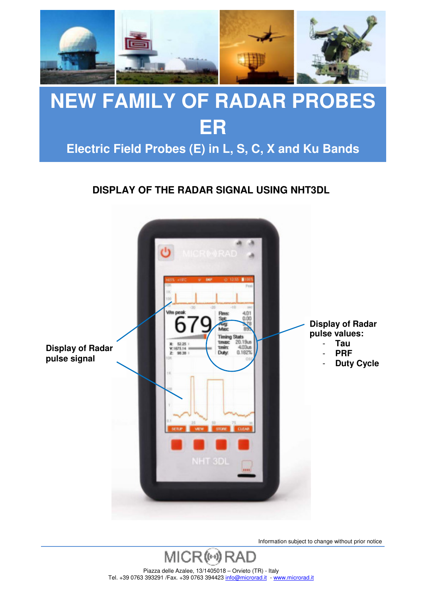

### **Electric Field Probes (E) in L, S, C, X and Ku Bands**

#### **DISPLAY OF THE RADAR SIGNAL USING NHT3DL**



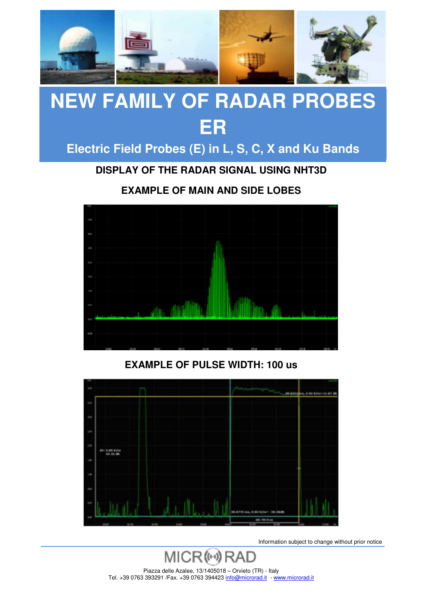

### **Electric Field Probes (E) in L, S, C, X and Ku Bands**

**DISPLAY OF THE RADAR SIGNAL USING NHT3D** 

**EXAMPLE OF MAIN AND SIDE LOBES** 



#### **EXAMPLE OF PULSE WIDTH: 100 us**



Information subject to change without prior notice

MICR<sup>(64)</sup> Piazza delle Azalee, 13/1405018 – Orvieto (TR) - Italy Tel. +39 0763 393291 /Fax. +39 0763 394423 info@microrad.it - www.microrad.it